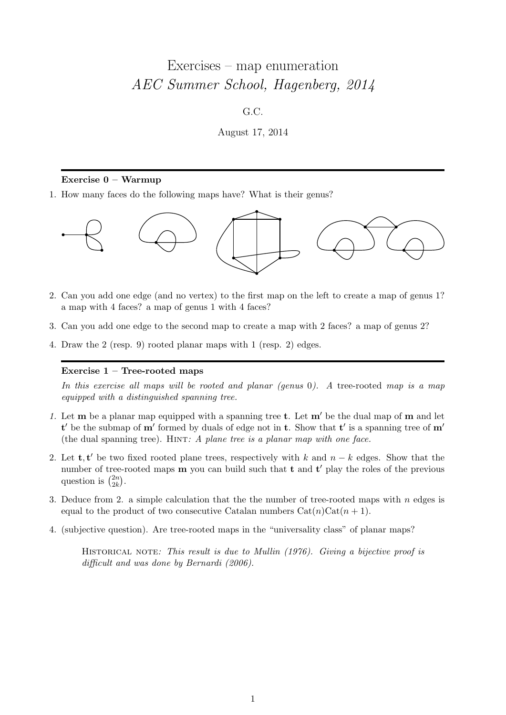# Exercises – map enumeration AEC Summer School, Hagenberg, 2014

## G.C.

August 17, 2014

## Exercise 0 – Warmup

1. How many faces do the following maps have? What is their genus?



- 2. Can you add one edge (and no vertex) to the first map on the left to create a map of genus 1? a map with 4 faces? a map of genus 1 with 4 faces?
- 3. Can you add one edge to the second map to create a map with 2 faces? a map of genus 2?
- 4. Draw the 2 (resp. 9) rooted planar maps with 1 (resp. 2) edges.

# Exercise 1 – Tree-rooted maps

In this exercise all maps will be rooted and planar (genus 0). A tree-rooted map is a map equipped with a distinguished spanning tree.

- 1. Let  $\mathbf m$  be a planar map equipped with a spanning tree t. Let  $\mathbf m'$  be the dual map of  $\mathbf m$  and let t' be the submap of  $m'$  formed by duals of edge not in t. Show that t' is a spanning tree of  $m'$ (the dual spanning tree). HINT:  $A$  plane tree is a planar map with one face.
- 2. Let **t**, **t'** be two fixed rooted plane trees, respectively with k and  $n k$  edges. Show that the number of tree-rooted maps  **you can build such that**  $**t**$  **and**  $**t**'$  **play the roles of the previous** question is  $\binom{2n}{2k}$  $\binom{2n}{2k}.$
- 3. Deduce from 2. a simple calculation that the the number of tree-rooted maps with  $n$  edges is equal to the product of two consecutive Catalan numbers  $Cat(n)Cat(n + 1)$ .
- 4. (subjective question). Are tree-rooted maps in the "universality class" of planar maps?

HISTORICAL NOTE: This result is due to Mullin (1976). Giving a bijective proof is difficult and was done by Bernardi (2006).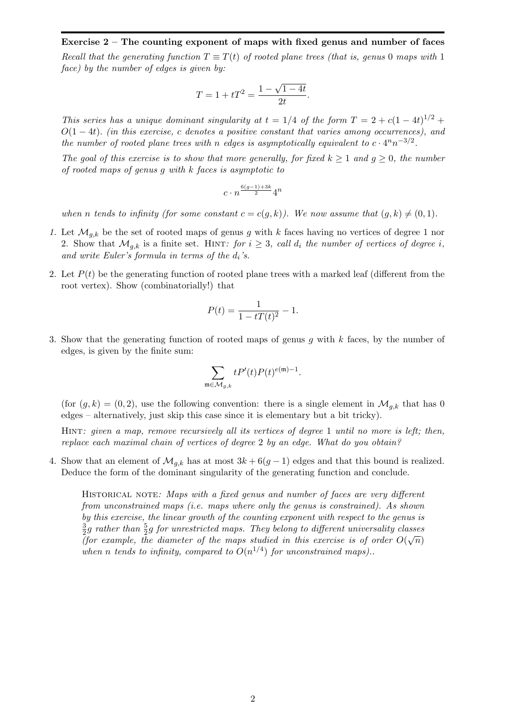# Exercise 2 – The counting exponent of maps with fixed genus and number of faces Recall that the generating function  $T \equiv T(t)$  of rooted plane trees (that is, genus 0 maps with 1 face) by the number of edges is given by:

$$
T = 1 + tT^2 = \frac{1 - \sqrt{1 - 4t}}{2t}.
$$

This series has a unique dominant singularity at  $t = 1/4$  of the form  $T = 2 + c(1 - 4t)^{1/2} +$  $O(1-4t)$ . (in this exercise, c denotes a positive constant that varies among occurrences), and the number of rooted plane trees with n edges is asymptotically equivalent to  $c \cdot 4^n n^{-3/2}$ .

The goal of this exercise is to show that more generally, for fixed  $k \ge 1$  and  $g \ge 0$ , the number of rooted maps of genus g with k faces is asymptotic to

$$
c\cdot n^{\frac{6(g-1)+3k}{2}}4^n
$$

when n tends to infinity (for some constant  $c = c(q, k)$ ). We now assume that  $(q, k) \neq (0, 1)$ .

- 1. Let  $\mathcal{M}_{g,k}$  be the set of rooted maps of genus g with k faces having no vertices of degree 1 nor 2. Show that  $\mathcal{M}_{g,k}$  is a finite set. HINT: for  $i \geq 3$ , call  $d_i$  the number of vertices of degree i, and write Euler's formula in terms of the  $d_i$ 's.
- 2. Let  $P(t)$  be the generating function of rooted plane trees with a marked leaf (different from the root vertex). Show (combinatorially!) that

$$
P(t) = \frac{1}{1 - tT(t)^2} - 1.
$$

3. Show that the generating function of rooted maps of genus  $g$  with  $k$  faces, by the number of edges, is given by the finite sum:

$$
\sum_{\mathfrak{m}\in \mathcal{M}_{g,k}} tP'(t)P(t)^{e(\mathfrak{m})-1}.
$$

(for  $(q, k) = (0, 2)$ , use the following convention: there is a single element in  $\mathcal{M}_{q,k}$  that has 0 edges – alternatively, just skip this case since it is elementary but a bit tricky).

HINT: given a map, remove recursively all its vertices of degree 1 until no more is left; then, replace each maximal chain of vertices of degree 2 by an edge. What do you obtain?

4. Show that an element of  $\mathcal{M}_{q,k}$  has at most  $3k + 6(g-1)$  edges and that this bound is realized. Deduce the form of the dominant singularity of the generating function and conclude.

HISTORICAL NOTE: Maps with a fixed genus and number of faces are very different from unconstrained maps (i.e. maps where only the genus is constrained). As shown by this exercise, the linear growth of the counting exponent with respect to the genus is 3  $\frac{3}{2}g$  rather than  $\frac{5}{2}g$  for unrestricted maps. They belong to different universality classes (for example, the diameter of the maps studied in this exercise is of order  $O(\sqrt{n})$ ) when n tends to infinity, compared to  $O(n^{1/4})$  for unconstrained maps)..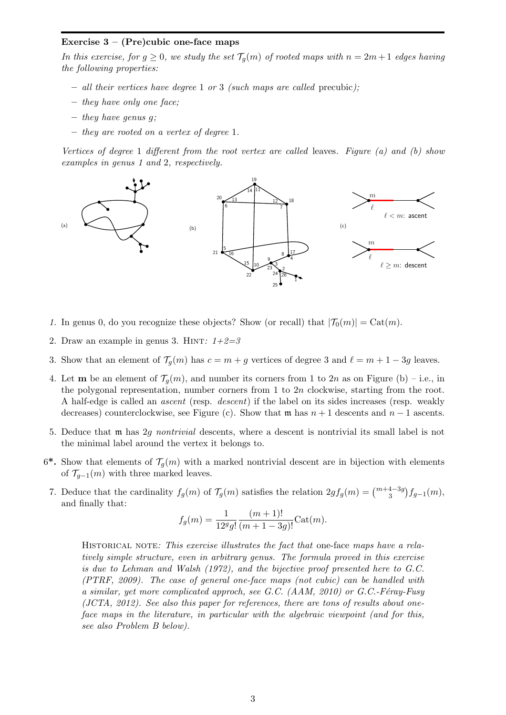### Exercise  $3 - (Pre)cubic$  one-face maps

In this exercise, for  $g \ge 0$ , we study the set  $\mathcal{T}_g(m)$  of rooted maps with  $n = 2m + 1$  edges having the following properties:

- all their vertices have degree 1 or 3 (such maps are called precubic);
- they have only one face;
- $-$  they have genus q;
- they are rooted on a vertex of degree 1.

Vertices of degree 1 different from the root vertex are called leaves. Figure (a) and (b) show examples in genus 1 and 2, respectively.



- 1. In genus 0, do you recognize these objects? Show (or recall) that  $|\mathcal{T}_0(m)| = \text{Cat}(m)$ .
- 2. Draw an example in genus 3. HINT:  $1+2=3$
- 3. Show that an element of  $\mathcal{T}_g(m)$  has  $c = m + g$  vertices of degree 3 and  $\ell = m + 1 3g$  leaves.
- 4. Let **m** be an element of  $\mathcal{T}_{q}(m)$ , and number its corners from 1 to 2n as on Figure (b) i.e., in the polygonal representation, number corners from  $1$  to  $2n$  clockwise, starting from the root. A half-edge is called an ascent (resp. descent) if the label on its sides increases (resp. weakly decreases) counterclockwise, see Figure (c). Show that m has  $n + 1$  descents and  $n - 1$  ascents.
- 5. Deduce that m has 2g nontrivial descents, where a descent is nontrivial its small label is not the minimal label around the vertex it belongs to.
- 6<sup>\*</sup>. Show that elements of  $\mathcal{T}_g(m)$  with a marked nontrivial descent are in bijection with elements of  $\mathcal{T}_{q-1}(m)$  with three marked leaves.
- 7. Deduce that the cardinality  $f_g(m)$  of  $\mathcal{T}_g(m)$  satisfies the relation  $2gf_g(m) = \binom{m+4-3g}{3} f_{g-1}(m)$ , and finally that:

$$
f_g(m) = \frac{1}{12^g g!} \frac{(m+1)!}{(m+1-3g)!} \text{Cat}(m).
$$

HISTORICAL NOTE: This exercise illustrates the fact that one-face maps have a relatively simple structure, even in arbitrary genus. The formula proved in this exercise is due to Lehman and Walsh (1972), and the bijective proof presented here to G.C. (PTRF, 2009). The case of general one-face maps (not cubic) can be handled with a similar, yet more complicated approch, see G.C.  $(AAM, 2010)$  or G.C.-Féray-Fusy (JCTA, 2012). See also this paper for references, there are tons of results about oneface maps in the literature, in particular with the algebraic viewpoint (and for this, see also Problem B below).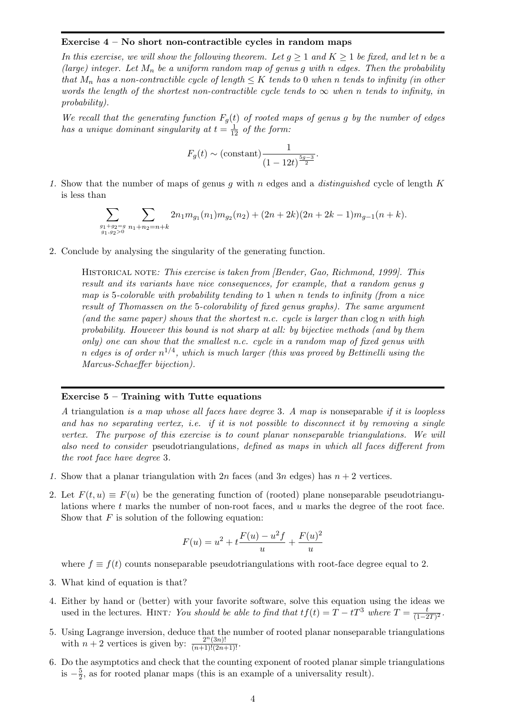#### Exercise 4 – No short non-contractible cycles in random maps

In this exercise, we will show the following theorem. Let  $g \geq 1$  and  $K \geq 1$  be fixed, and let n be a (large) integer. Let  $M_n$  be a uniform random map of genus g with n edges. Then the probability that  $M_n$  has a non-contractible cycle of length  $\leq K$  tends to 0 when n tends to infinity (in other words the length of the shortest non-contractible cycle tends to  $\infty$  when n tends to infinity, in probability).

We recall that the generating function  $F_g(t)$  of rooted maps of genus g by the number of edges has a unique dominant singularity at  $t = \frac{1}{12}$  of the form:

$$
F_g(t) \sim \text{(constant)} \frac{1}{(1 - 12t)^{\frac{5g - 3}{2}}}.
$$

1. Show that the number of maps of genus q with n edges and a distinguished cycle of length  $K$ is less than

$$
\sum_{\substack{g_1+g_2=g\\ g_1,g_2>0}} \sum_{n_1+n_2=n+k} 2n_1 m_{g_1}(n_1) m_{g_2}(n_2) +(2n+2k)(2n+2k-1)m_{g-1}(n+k).
$$

2. Conclude by analysing the singularity of the generating function.

HISTORICAL NOTE: This exercise is taken from *[Bender, Gao, Richmond, 1999]*. This result and its variants have nice consequences, for example, that a random genus g map is 5-colorable with probability tending to 1 when n tends to infinity (from a nice result of Thomassen on the 5-colorability of fixed genus graphs). The same argument (and the same paper) shows that the shortest n.c. cycle is larger than  $c \log n$  with high probability. However this bound is not sharp at all: by bijective methods (and by them only) one can show that the smallest n.c. cycle in a random map of fixed genus with n edges is of order  $n^{1/4}$ , which is much larger (this was proved by Bettinelli using the Marcus-Schaeffer bijection).

#### Exercise  $5 -$  Training with Tutte equations

A triangulation is a map whose all faces have degree 3. A map is nonseparable if it is loopless and has no separating vertex, i.e. if it is not possible to disconnect it by removing a single vertex. The purpose of this exercise is to count planar nonseparable triangulations. We will also need to consider pseudotriangulations, defined as maps in which all faces different from the root face have degree 3.

- 1. Show that a planar triangulation with  $2n$  faces (and  $3n$  edges) has  $n + 2$  vertices.
- 2. Let  $F(t, u) \equiv F(u)$  be the generating function of (rooted) plane nonseparable pseudotriangulations where t marks the number of non-root faces, and u marks the degree of the root face. Show that  $F$  is solution of the following equation:

$$
F(u) = u^{2} + t \frac{F(u) - u^{2}f}{u} + \frac{F(u)^{2}}{u}
$$

where  $f \equiv f(t)$  counts nonseparable pseudotriangulations with root-face degree equal to 2.

- 3. What kind of equation is that?
- 4. Either by hand or (better) with your favorite software, solve this equation using the ideas we used in the lectures. HINT: You should be able to find that  $tf(t) = T - tT^3$  where  $T = \frac{t}{(1-t)^2}$  $\frac{t}{(1-2T)^2}$ .
- 5. Using Lagrange inversion, deduce that the number of rooted planar nonseparable triangulations with  $n+2$  vertices is given by:  $\frac{2^n(3n)!}{(n+1)!(2n+1)!}$ .
- 6. Do the asymptotics and check that the counting exponent of rooted planar simple triangulations is  $-\frac{5}{2}$  $\frac{5}{2}$ , as for rooted planar maps (this is an example of a universality result).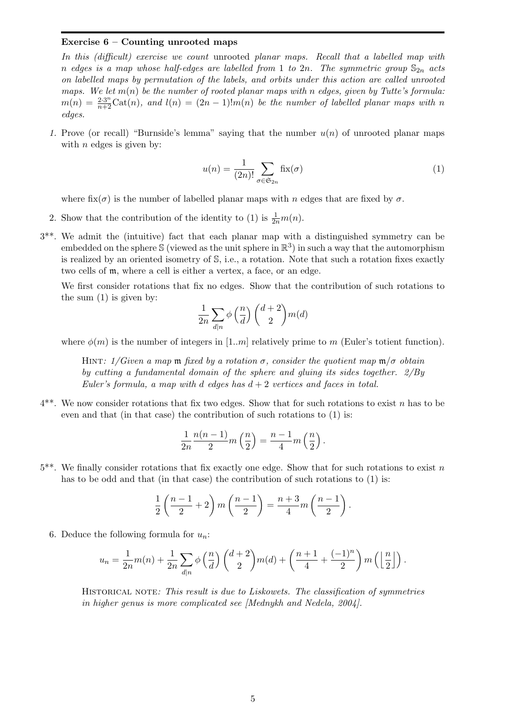#### Exercise  $6$  – Counting unrooted maps

In this (difficult) exercise we count unrooted planar maps. Recall that a labelled map with n edges is a map whose half-edges are labelled from 1 to 2n. The symmetric group  $\mathbb{S}_{2n}$  acts on labelled maps by permutation of the labels, and orbits under this action are called unrooted maps. We let  $m(n)$  be the number of rooted planar maps with n edges, given by Tutte's formula:  $m(n) = \frac{2 \cdot 3^n}{n+2} \text{Cat}(n)$ , and  $l(n) = (2n-1)!m(n)$  be the number of labelled planar maps with n edges.

1. Prove (or recall) "Burnside's lemma" saying that the number  $u(n)$  of unrooted planar maps with  $n$  edges is given by:

$$
u(n) = \frac{1}{(2n)!} \sum_{\sigma \in \mathfrak{S}_{2n}} \text{fix}(\sigma)
$$
 (1)

where fix( $\sigma$ ) is the number of labelled planar maps with n edges that are fixed by  $\sigma$ .

- 2. Show that the contribution of the identity to (1) is  $\frac{1}{2n}m(n)$ .
- 3\*\*. We admit the (intuitive) fact that each planar map with a distinguished symmetry can be embedded on the sphere  $\Im$  (viewed as the unit sphere in  $\mathbb{R}^3$ ) in such a way that the automorphism is realized by an oriented isometry of S, i.e., a rotation. Note that such a rotation fixes exactly two cells of m, where a cell is either a vertex, a face, or an edge.

We first consider rotations that fix no edges. Show that the contribution of such rotations to the sum (1) is given by:

$$
\frac{1}{2n} \sum_{d|n} \phi\left(\frac{n}{d}\right) \binom{d+2}{2} m(d)
$$

where  $\phi(m)$  is the number of integers in [1..m] relatively prime to m (Euler's totient function).

HINT: 1/Given a map  $\mathfrak{m}$  fixed by a rotation  $\sigma$ , consider the quotient map  $\mathfrak{m}/\sigma$  obtain by cutting a fundamental domain of the sphere and gluing its sides together. 2/By Euler's formula, a map with d edges has  $d + 2$  vertices and faces in total.

 $4^{**}$ . We now consider rotations that fix two edges. Show that for such rotations to exist n has to be even and that (in that case) the contribution of such rotations to (1) is:

$$
\frac{1}{2n}\frac{n(n-1)}{2}m\left(\frac{n}{2}\right)=\frac{n-1}{4}m\left(\frac{n}{2}\right).
$$

 $5^{**}$ . We finally consider rotations that fix exactly one edge. Show that for such rotations to exist n has to be odd and that (in that case) the contribution of such rotations to (1) is:

$$
\frac{1}{2}\left(\frac{n-1}{2}+2\right)m\left(\frac{n-1}{2}\right)=\frac{n+3}{4}m\left(\frac{n-1}{2}\right).
$$

6. Deduce the following formula for  $u_n$ :

$$
u_n = \frac{1}{2n}m(n) + \frac{1}{2n}\sum_{d|n} \phi\left(\frac{n}{d}\right)\binom{d+2}{2}m(d) + \left(\frac{n+1}{4} + \frac{(-1)^n}{2}\right)m\left(\left\lfloor\frac{n}{2}\right\rfloor\right).
$$

HISTORICAL NOTE: This result is due to Liskowets. The classification of symmetries in higher genus is more complicated see [Mednykh and Nedela, 2004].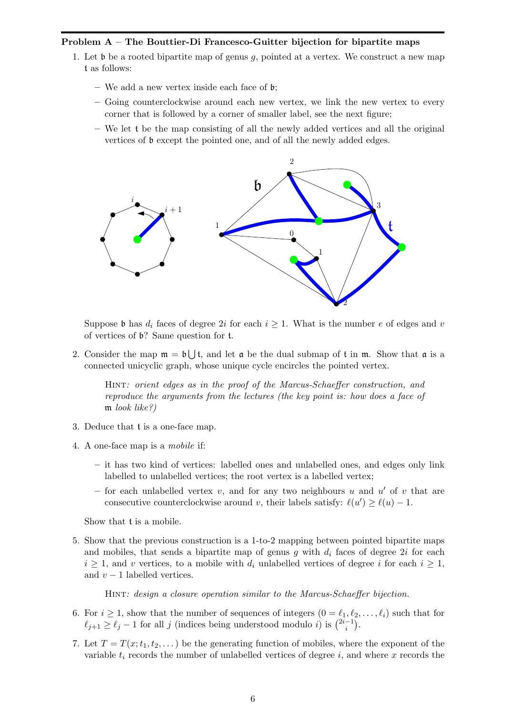## Problem A – The Bouttier-Di Francesco-Guitter bijection for bipartite maps

- 1. Let b be a rooted bipartite map of genus g, pointed at a vertex. We construct a new map t as follows:
	- We add a new vertex inside each face of b;
	- Going counterclockwise around each new vertex, we link the new vertex to every corner that is followed by a corner of smaller label, see the next figure;
	- We let t be the map consisting of all the newly added vertices and all the original vertices of b except the pointed one, and of all the newly added edges.



Suppose b has  $d_i$  faces of degree 2i for each  $i \geq 1$ . What is the number e of edges and v of vertices of b? Same question for t.

2. Consider the map  $\mathfrak{m} = \mathfrak{b} \bigcup \mathfrak{t}$ , and let  $\mathfrak{a}$  be the dual submap of  $\mathfrak{t}$  in  $\mathfrak{m}$ . Show that  $\mathfrak{a}$  is a connected unicyclic graph, whose unique cycle encircles the pointed vertex.

Hint: orient edges as in the proof of the Marcus-Schaeffer construction, and reproduce the arguments from the lectures (the key point is: how does a face of m look like?)

- 3. Deduce that t is a one-face map.
- 4. A one-face map is a mobile if:
	- it has two kind of vertices: labelled ones and unlabelled ones, and edges only link labelled to unlabelled vertices; the root vertex is a labelled vertex;
	- for each unlabelled vertex  $v$ , and for any two neighbours  $u$  and  $u'$  of  $v$  that are consecutive counterclockwise around v, their labels satisfy:  $\ell(u') \geq \ell(u) - 1$ .

Show that t is a mobile.

5. Show that the previous construction is a 1-to-2 mapping between pointed bipartite maps and mobiles, that sends a bipartite map of genus  $g$  with  $d_i$  faces of degree 2i for each  $i \geq 1$ , and v vertices, to a mobile with  $d_i$  unlabelled vertices of degree i for each  $i \geq 1$ , and  $v - 1$  labelled vertices.

Hint: design a closure operation similar to the Marcus-Schaeffer bijection.

- 6. For  $i \geq 1$ , show that the number of sequences of integers  $(0 = \ell_1, \ell_2, \ldots, \ell_i)$  such that for  $\ell_{j+1} \geq \ell_j - 1$  for all j (indices being understood modulo i) is  $\binom{2i-1}{i}$  $\binom{-1}{i}$ .
- 7. Let  $T = T(x; t_1, t_2, ...)$  be the generating function of mobiles, where the exponent of the variable  $t_i$  records the number of unlabelled vertices of degree i, and where x records the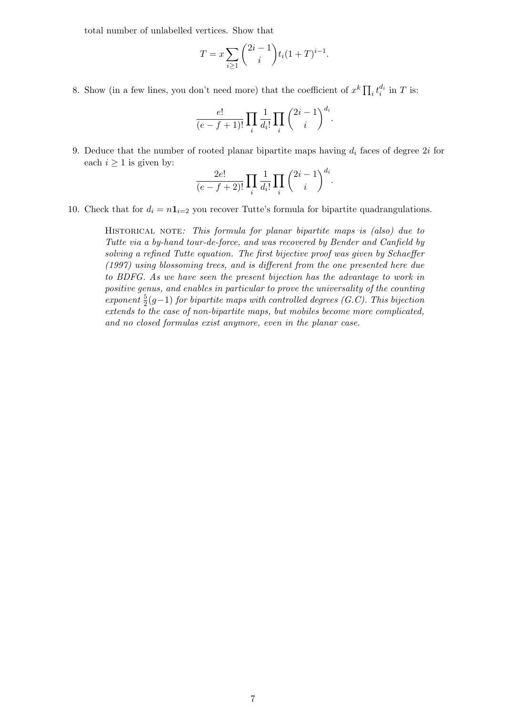total number of unlabelled vertices. Show that

$$
T = x \sum_{i \ge 1} {2i - 1 \choose i} t_i (1 + T)^{i-1}.
$$

8. Show (in a few lines, you don't need more) that the coefficient of  $x^k \prod_i t_i^{d_i}$  in T is:

$$
\frac{e!}{(e-f+1)!} \prod_i \frac{1}{d_i!} \prod_i \binom{2i-1}{i}^{d_i}.
$$

9. Deduce that the number of rooted planar bipartite maps having  $d_i$  faces of degree 2i for each  $i \geq 1$  is given by:

$$
\frac{2e!}{(e-f+2)!} \prod_i \frac{1}{d_i!} \prod_i \binom{2i-1}{i}^{d_i}.
$$

10. Check that for  $d_i = n \mathbf{1}_{i=2}$  you recover Tutte's formula for bipartite quadrangulations.

HISTORICAL NOTE: This formula for planar bipartite maps is (also) due to Tutte via a by-hand tour-de-force, and was recovered by Bender and Canfield by solving a refined Tutte equation. The first bijective proof was given by Schaeffer (1997) using blossoming trees, and is different from the one presented here due to BDFG. As we have seen the present bijection has the advantage to work in positive genus, and enables in particular to prove the universality of the counting exponent  $\frac{5}{2}(g-1)$  for bipartite maps with controlled degrees (G.C). This bijection extends to the case of non-bipartite maps, but mobiles become more complicated, and no closed formulas exist anymore, even in the planar case.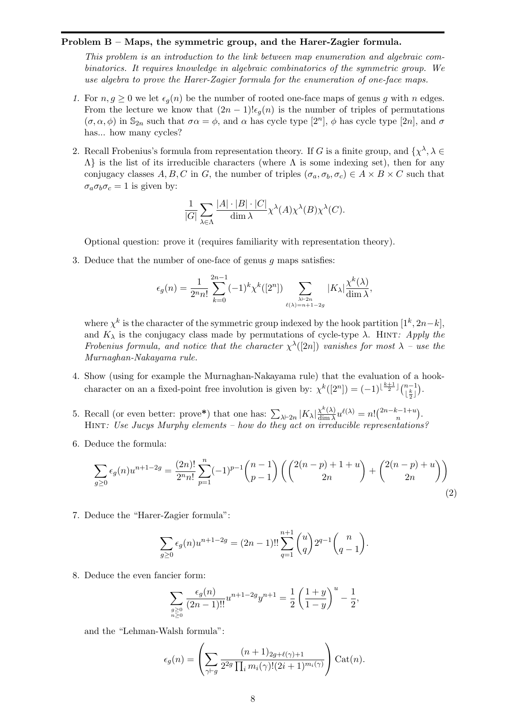#### Problem B – Maps, the symmetric group, and the Harer-Zagier formula.

This problem is an introduction to the link between map enumeration and algebraic combinatorics. It requires knowledge in algebraic combinatorics of the symmetric group. We use algebra to prove the Harer-Zagier formula for the enumeration of one-face maps.

- 1. For  $n, g \geq 0$  we let  $\epsilon_q(n)$  be the number of rooted one-face maps of genus g with n edges. From the lecture we know that  $(2n-1)!\epsilon_q(n)$  is the number of triples of permutations  $(\sigma, \alpha, \phi)$  in  $\mathbb{S}_{2n}$  such that  $\sigma \alpha = \phi$ , and  $\alpha$  has cycle type  $[2^n]$ ,  $\phi$  has cycle type  $[2n]$ , and  $\sigma$ has... how many cycles?
- 2. Recall Frobenius's formula from representation theory. If G is a finite group, and  $\{\chi^{\lambda}, \lambda \in$  $\Lambda$ } is the list of its irreducible characters (where  $\Lambda$  is some indexing set), then for any conjugacy classes A, B, C in G, the number of triples  $(\sigma_a, \sigma_b, \sigma_c) \in A \times B \times C$  such that  $\sigma_a \sigma_b \sigma_c = 1$  is given by:

$$
\frac{1}{|G|} \sum_{\lambda \in \Lambda} \frac{|A| \cdot |B| \cdot |C|}{\dim \lambda} \chi^{\lambda}(A) \chi^{\lambda}(B) \chi^{\lambda}(C).
$$

Optional question: prove it (requires familiarity with representation theory).

3. Deduce that the number of one-face of genus g maps satisfies:

$$
\epsilon_g(n)=\frac{1}{2^nn!}\sum_{k=0}^{2n-1}(-1)^k\chi^k([2^n])\sum_{\lambda\vdash 2n\atop \ell(\lambda)=n+1-2g}|K_\lambda|\frac{\chi^k(\lambda)}{\dim\lambda},
$$

where  $\chi^k$  is the character of the symmetric group indexed by the hook partition  $[1^k, 2n-k]$ , and  $K_{\lambda}$  is the conjugacy class made by permutations of cycle-type  $\lambda$ . HINT: Apply the Frobenius formula, and notice that the character  $\chi^{\lambda}([2n])$  vanishes for most  $\lambda$  – use the Murnaghan-Nakayama rule.

- 4. Show (using for example the Murnaghan-Nakayama rule) that the evaluation of a hookcharacter on an a fixed-point free involution is given by:  $\chi^k([2^n]) = (-1)^{\lfloor \frac{k+1}{2} \rfloor} \binom{n-1}{\lfloor \frac{k}{2} \rfloor}$ . 2
- 5. Recall (or even better: prove\*) that one has:  $\sum_{\lambda \vdash 2n} |K_{\lambda}| \frac{\chi^k(\lambda)}{\dim \lambda}$  $\frac{\chi^k(\lambda)}{\dim \lambda}u^{\ell(\lambda)}=n!\binom{2n-k-1+u}{n}$  $\binom{k-1+u}{n}$ . Hint: Use Jucys Murphy elements – how do they act on irreducible representations?
- 6. Deduce the formula:

$$
\sum_{g\geq 0} \epsilon_g(n) u^{n+1-2g} = \frac{(2n)!}{2^n n!} \sum_{p=1}^n (-1)^{p-1} \binom{n-1}{p-1} \left( \binom{2(n-p)+1+u}{2n} + \binom{2(n-p)+u}{2n} \right)
$$
\n(2)

7. Deduce the "Harer-Zagier formula":

$$
\sum_{g\geq 0} \epsilon_g(n) u^{n+1-2g} = (2n-1)!! \sum_{q=1}^{n+1} {u \choose q} 2^{q-1} {n \choose q-1}.
$$

8. Deduce the even fancier form:

$$
\sum_{\substack{g \ge 0 \\ n \ge 0}} \frac{\epsilon_g(n)}{(2n-1)!!} u^{n+1-2g} y^{n+1} = \frac{1}{2} \left( \frac{1+y}{1-y} \right)^u - \frac{1}{2},
$$

and the "Lehman-Walsh formula":

$$
\epsilon_g(n) = \left(\sum_{\gamma \vdash g} \frac{(n+1)_{2g+\ell(\gamma)+1}}{2^{2g} \prod_i m_i(\gamma)!(2i+1)^{m_i(\gamma)}}\right) \text{Cat}(n).
$$